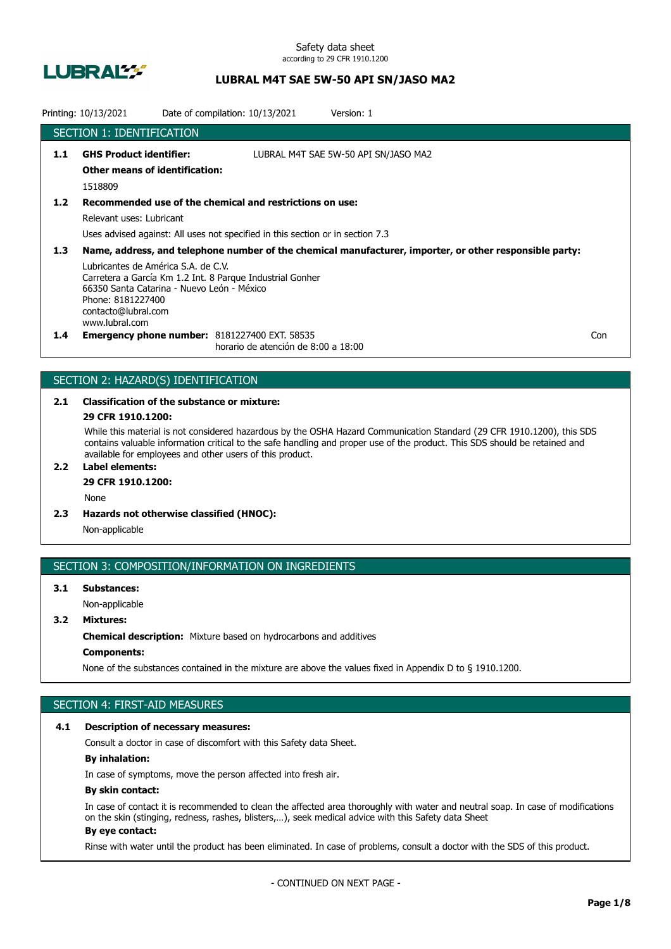

Safety data sheet according to 29 CFR 1910.1200

## **LUBRAL M4T SAE 5W-50 API SN/JASO MA2**

|                  | Printing: 10/13/2021                                                                                                                                                                                                                                                                                                    | Date of compilation: 10/13/2021<br>Version: 1                                                                                              |     |  |
|------------------|-------------------------------------------------------------------------------------------------------------------------------------------------------------------------------------------------------------------------------------------------------------------------------------------------------------------------|--------------------------------------------------------------------------------------------------------------------------------------------|-----|--|
|                  | SECTION 1: IDENTIFICATION                                                                                                                                                                                                                                                                                               |                                                                                                                                            |     |  |
| 1.1              | <b>GHS Product identifier:</b><br><b>Other means of identification:</b><br>1518809                                                                                                                                                                                                                                      | LUBRAL M4T SAE 5W-50 API SN/JASO MA2                                                                                                       |     |  |
| 1.2              | Relevant uses: Lubricant                                                                                                                                                                                                                                                                                                | Recommended use of the chemical and restrictions on use:<br>Uses advised against: All uses not specified in this section or in section 7.3 |     |  |
| 1.3 <sub>2</sub> | Name, address, and telephone number of the chemical manufacturer, importer, or other responsible party:<br>Lubricantes de América S.A. de C.V.<br>Carretera a García Km 1.2 Int. 8 Parque Industrial Gonher<br>66350 Santa Catarina - Nuevo León - México<br>Phone: 8181227400<br>contacto@lubral.com<br>www.lubral.com |                                                                                                                                            |     |  |
| $1.4^{\circ}$    |                                                                                                                                                                                                                                                                                                                         | <b>Emergency phone number: 8181227400 EXT. 58535</b><br>horario de atención de 8:00 a 18:00                                                | Con |  |

## SECTION 2: HAZARD(S) IDENTIFICATION

# **2.1 Classification of the substance or mixture:**

## **29 CFR 1910.1200:**

While this material is not considered hazardous by the OSHA Hazard Communication Standard (29 CFR 1910.1200), this SDS contains valuable information critical to the safe handling and proper use of the product. This SDS should be retained and available for employees and other users of this product.

## **2.2 Label elements:**

## **29 CFR 1910.1200:**

None

**2.3 Hazards not otherwise classified (HNOC):**

Non-applicable

### SECTION 3: COMPOSITION/INFORMATION ON INGREDIENTS

## **3.1 Substances:** Non-applicable

## **3.2 Mixtures:**

**Chemical description:** Mixture based on hydrocarbons and additives

## **Components:**

None of the substances contained in the mixture are above the values fixed in Appendix D to § 1910.1200.

## SECTION 4: FIRST-AID MEASURES

#### **4.1 Description of necessary measures:**

Consult a doctor in case of discomfort with this Safety data Sheet.

### **By inhalation:**

In case of symptoms, move the person affected into fresh air.

### **By skin contact:**

In case of contact it is recommended to clean the affected area thoroughly with water and neutral soap. In case of modifications on the skin (stinging, redness, rashes, blisters,…), seek medical advice with this Safety data Sheet **By eye contact:**

#### Rinse with water until the product has been eliminated. In case of problems, consult a doctor with the SDS of this product.

- CONTINUED ON NEXT PAGE -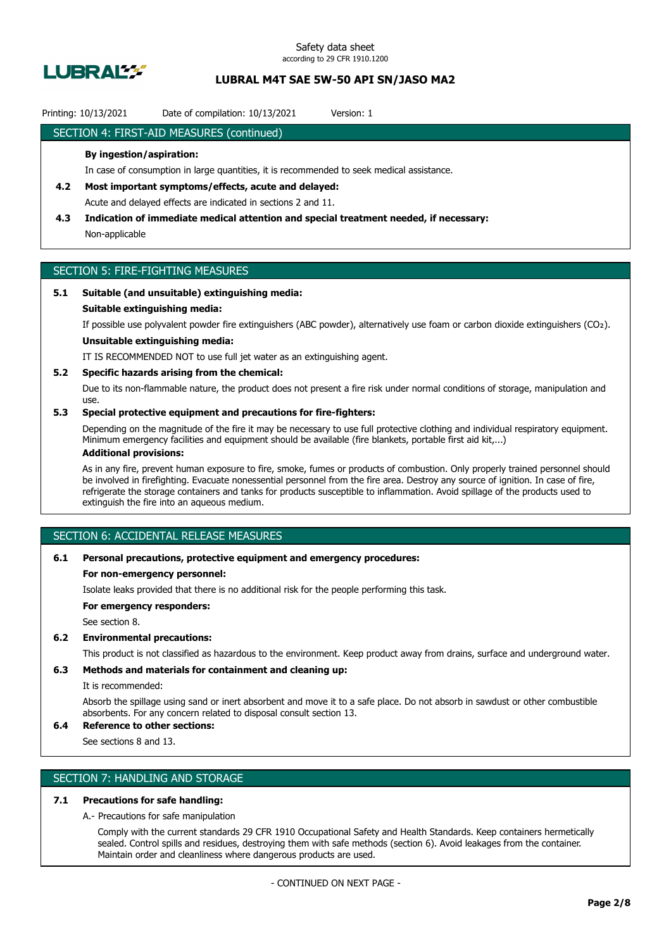

### Printing: 10/13/2021 Date of compilation: 10/13/2021 Version: 1

### SECTION 4: FIRST-AID MEASURES (continued)

### **By ingestion/aspiration:**

In case of consumption in large quantities, it is recommended to seek medical assistance.

- **4.2 Most important symptoms/effects, acute and delayed:** Acute and delayed effects are indicated in sections 2 and 11.
- **4.3 Indication of immediate medical attention and special treatment needed, if necessary:** Non-applicable

## SECTION 5: FIRE-FIGHTING MEASURES

### **5.1 Suitable (and unsuitable) extinguishing media:**

#### **Suitable extinguishing media:**

If possible use polyvalent powder fire extinguishers (ABC powder), alternatively use foam or carbon dioxide extinguishers (CO₂).

## **Unsuitable extinguishing media:**

IT IS RECOMMENDED NOT to use full jet water as an extinguishing agent.

#### **5.2 Specific hazards arising from the chemical:**

Due to its non-flammable nature, the product does not present a fire risk under normal conditions of storage, manipulation and use.

### **5.3 Special protective equipment and precautions for fire-fighters:**

Depending on the magnitude of the fire it may be necessary to use full protective clothing and individual respiratory equipment. Minimum emergency facilities and equipment should be available (fire blankets, portable first aid kit,...)

### **Additional provisions:**

As in any fire, prevent human exposure to fire, smoke, fumes or products of combustion. Only properly trained personnel should be involved in firefighting. Evacuate nonessential personnel from the fire area. Destroy any source of ignition. In case of fire, refrigerate the storage containers and tanks for products susceptible to inflammation. Avoid spillage of the products used to extinguish the fire into an aqueous medium.

## SECTION 6: ACCIDENTAL RELEASE MEASURES

#### **6.1 Personal precautions, protective equipment and emergency procedures:**

#### **For non-emergency personnel:**

Isolate leaks provided that there is no additional risk for the people performing this task.

**For emergency responders:**

See section 8.

### **6.2 Environmental precautions:**

This product is not classified as hazardous to the environment. Keep product away from drains, surface and underground water.

### **6.3 Methods and materials for containment and cleaning up:**

It is recommended:

Absorb the spillage using sand or inert absorbent and move it to a safe place. Do not absorb in sawdust or other combustible absorbents. For any concern related to disposal consult section 13.

## **6.4 Reference to other sections:**

See sections 8 and 13.

## SECTION 7: HANDLING AND STORAGE

#### **7.1 Precautions for safe handling:**

A.- Precautions for safe manipulation

Comply with the current standards 29 CFR 1910 Occupational Safety and Health Standards. Keep containers hermetically sealed. Control spills and residues, destroying them with safe methods (section 6). Avoid leakages from the container. Maintain order and cleanliness where dangerous products are used.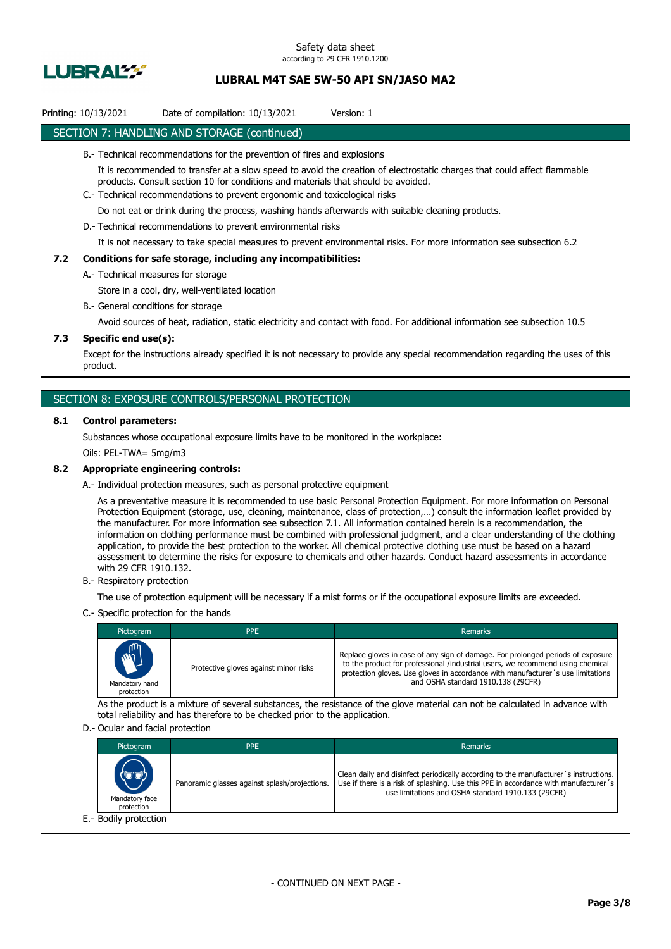

## Printing: 10/13/2021 Date of compilation: 10/13/2021 Version: 1

### SECTION 7: HANDLING AND STORAGE (continued)

- B.- Technical recommendations for the prevention of fires and explosions
	- It is recommended to transfer at a slow speed to avoid the creation of electrostatic charges that could affect flammable products. Consult section 10 for conditions and materials that should be avoided.
- C.- Technical recommendations to prevent ergonomic and toxicological risks

Do not eat or drink during the process, washing hands afterwards with suitable cleaning products.

D.- Technical recommendations to prevent environmental risks

It is not necessary to take special measures to prevent environmental risks. For more information see subsection 6.2

#### **7.2 Conditions for safe storage, including any incompatibilities:**

A.- Technical measures for storage

Store in a cool, dry, well-ventilated location

B.- General conditions for storage

Avoid sources of heat, radiation, static electricity and contact with food. For additional information see subsection 10.5

### **7.3 Specific end use(s):**

Except for the instructions already specified it is not necessary to provide any special recommendation regarding the uses of this product.

### SECTION 8: EXPOSURE CONTROLS/PERSONAL PROTECTION

#### **8.1 Control parameters:**

Substances whose occupational exposure limits have to be monitored in the workplace:

Oils: PEL-TWA= 5mg/m3

#### **8.2 Appropriate engineering controls:**

A.- Individual protection measures, such as personal protective equipment

As a preventative measure it is recommended to use basic Personal Protection Equipment. For more information on Personal Protection Equipment (storage, use, cleaning, maintenance, class of protection,…) consult the information leaflet provided by the manufacturer. For more information see subsection 7.1. All information contained herein is a recommendation, the information on clothing performance must be combined with professional judgment, and a clear understanding of the clothing application, to provide the best protection to the worker. All chemical protective clothing use must be based on a hazard assessment to determine the risks for exposure to chemicals and other hazards. Conduct hazard assessments in accordance with 29 CFR 1910.132.

B.- Respiratory protection

The use of protection equipment will be necessary if a mist forms or if the occupational exposure limits are exceeded.

C.- Specific protection for the hands

| Pictogram                                  | <b>PPE</b>                            | <b>Remarks</b>                                                                                                                                                                                                                                                                             |
|--------------------------------------------|---------------------------------------|--------------------------------------------------------------------------------------------------------------------------------------------------------------------------------------------------------------------------------------------------------------------------------------------|
| <b>AND</b><br>Mandatory hand<br>protection | Protective gloves against minor risks | Replace gloves in case of any sign of damage. For prolonged periods of exposure<br>to the product for professional /industrial users, we recommend using chemical<br>protection gloves. Use gloves in accordance with manufacturer's use limitations<br>and OSHA standard 1910.138 (29CFR) |

As the product is a mixture of several substances, the resistance of the glove material can not be calculated in advance with total reliability and has therefore to be checked prior to the application.

#### D.- Ocular and facial protection

| Pictogram                             | <b>PPE</b>                                    | Remarks                                                                                                                                                                                                                           |
|---------------------------------------|-----------------------------------------------|-----------------------------------------------------------------------------------------------------------------------------------------------------------------------------------------------------------------------------------|
| (U'U)<br>Mandatory face<br>protection | Panoramic glasses against splash/projections. | Clean daily and disinfect periodically according to the manufacturer's instructions.<br>Use if there is a risk of splashing. Use this PPE in accordance with manufacturer's<br>use limitations and OSHA standard 1910.133 (29CFR) |
| E.- Bodily protection                 |                                               |                                                                                                                                                                                                                                   |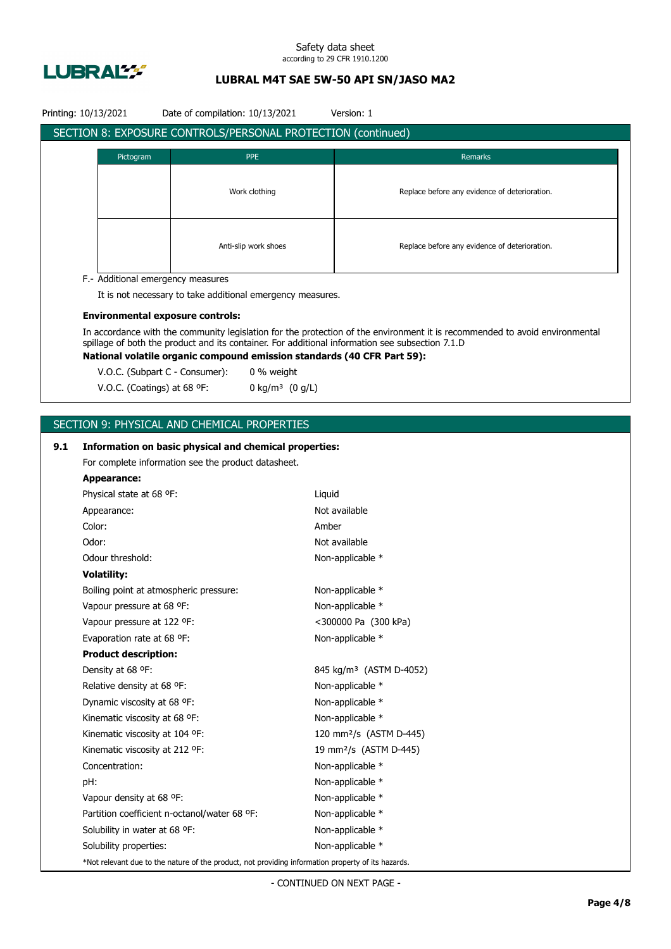

#### Safety data sheet according to 29 CFR 1910.1200

## **LUBRAL M4T SAE 5W-50 API SN/JASO MA2**

| Printing: 10/13/2021<br>Date of compilation: 10/13/2021<br>Version: 1 |                                                                                                    |                                                                         |        |                                                                                                                             |  |
|-----------------------------------------------------------------------|----------------------------------------------------------------------------------------------------|-------------------------------------------------------------------------|--------|-----------------------------------------------------------------------------------------------------------------------------|--|
| SECTION 8: EXPOSURE CONTROLS/PERSONAL PROTECTION (continued)          |                                                                                                    |                                                                         |        |                                                                                                                             |  |
|                                                                       |                                                                                                    |                                                                         |        |                                                                                                                             |  |
|                                                                       | Pictogram                                                                                          | <b>PPE</b>                                                              |        | Remarks                                                                                                                     |  |
|                                                                       |                                                                                                    |                                                                         |        |                                                                                                                             |  |
|                                                                       |                                                                                                    | Work clothing                                                           |        | Replace before any evidence of deterioration.                                                                               |  |
|                                                                       |                                                                                                    |                                                                         |        |                                                                                                                             |  |
|                                                                       |                                                                                                    |                                                                         |        |                                                                                                                             |  |
|                                                                       |                                                                                                    | Anti-slip work shoes                                                    |        | Replace before any evidence of deterioration.                                                                               |  |
|                                                                       |                                                                                                    |                                                                         |        |                                                                                                                             |  |
|                                                                       | F.- Additional emergency measures                                                                  |                                                                         |        |                                                                                                                             |  |
|                                                                       |                                                                                                    | It is not necessary to take additional emergency measures.              |        |                                                                                                                             |  |
|                                                                       | <b>Environmental exposure controls:</b>                                                            |                                                                         |        |                                                                                                                             |  |
|                                                                       |                                                                                                    |                                                                         |        | In accordance with the community legislation for the protection of the environment it is recommended to avoid environmental |  |
|                                                                       |                                                                                                    |                                                                         |        | spillage of both the product and its container. For additional information see subsection 7.1.D                             |  |
|                                                                       |                                                                                                    | National volatile organic compound emission standards (40 CFR Part 59): |        |                                                                                                                             |  |
|                                                                       | V.O.C. (Subpart C - Consumer):                                                                     | 0 % weight                                                              |        |                                                                                                                             |  |
|                                                                       | V.O.C. (Coatings) at 68 °F:                                                                        | 0 kg/m <sup>3</sup> $(0 g/L)$                                           |        |                                                                                                                             |  |
|                                                                       |                                                                                                    |                                                                         |        |                                                                                                                             |  |
|                                                                       |                                                                                                    | SECTION 9: PHYSICAL AND CHEMICAL PROPERTIES                             |        |                                                                                                                             |  |
| 9.1                                                                   |                                                                                                    | Information on basic physical and chemical properties:                  |        |                                                                                                                             |  |
|                                                                       |                                                                                                    | For complete information see the product datasheet.                     |        |                                                                                                                             |  |
|                                                                       | <b>Appearance:</b>                                                                                 |                                                                         |        |                                                                                                                             |  |
|                                                                       | Physical state at 68 °F:                                                                           |                                                                         | Liquid |                                                                                                                             |  |
|                                                                       | Appearance:                                                                                        |                                                                         |        | Not available                                                                                                               |  |
|                                                                       | Color:                                                                                             |                                                                         | Amber  |                                                                                                                             |  |
|                                                                       | Odor:                                                                                              |                                                                         |        | Not available                                                                                                               |  |
|                                                                       | Odour threshold:                                                                                   |                                                                         |        | Non-applicable *                                                                                                            |  |
|                                                                       | <b>Volatility:</b>                                                                                 |                                                                         |        |                                                                                                                             |  |
|                                                                       | Boiling point at atmospheric pressure:                                                             |                                                                         |        | Non-applicable *                                                                                                            |  |
|                                                                       | Vapour pressure at 68 °F:                                                                          |                                                                         |        | Non-applicable *                                                                                                            |  |
|                                                                       | Vapour pressure at 122 °F:                                                                         |                                                                         |        | <300000 Pa (300 kPa)                                                                                                        |  |
|                                                                       | Evaporation rate at 68 °F:                                                                         |                                                                         |        | Non-applicable *                                                                                                            |  |
|                                                                       | <b>Product description:</b>                                                                        |                                                                         |        |                                                                                                                             |  |
|                                                                       | Density at 68 °F:                                                                                  |                                                                         |        | 845 kg/m <sup>3</sup> (ASTM D-4052)                                                                                         |  |
|                                                                       | Relative density at 68 °F:                                                                         |                                                                         |        | Non-applicable *                                                                                                            |  |
|                                                                       | Dynamic viscosity at 68 °F:                                                                        |                                                                         |        | Non-applicable *                                                                                                            |  |
|                                                                       | Kinematic viscosity at 68 °F:                                                                      |                                                                         |        | Non-applicable *                                                                                                            |  |
|                                                                       | Kinematic viscosity at 104 °F:                                                                     |                                                                         |        | 120 mm <sup>2</sup> /s (ASTM D-445)                                                                                         |  |
|                                                                       | Kinematic viscosity at 212 °F:                                                                     |                                                                         |        | 19 mm <sup>2</sup> /s (ASTM D-445)                                                                                          |  |
|                                                                       | Concentration:                                                                                     |                                                                         |        | Non-applicable *                                                                                                            |  |
|                                                                       | pH:                                                                                                |                                                                         |        | Non-applicable *                                                                                                            |  |
|                                                                       | Vapour density at 68 °F:                                                                           |                                                                         |        | Non-applicable *                                                                                                            |  |
|                                                                       |                                                                                                    | Partition coefficient n-octanol/water 68 °F:                            |        | Non-applicable *                                                                                                            |  |
|                                                                       | Solubility in water at 68 °F:                                                                      |                                                                         |        | Non-applicable *                                                                                                            |  |
|                                                                       | Solubility properties:                                                                             |                                                                         |        | Non-applicable *                                                                                                            |  |
|                                                                       | *Not relevant due to the nature of the product, not providing information property of its hazards. |                                                                         |        |                                                                                                                             |  |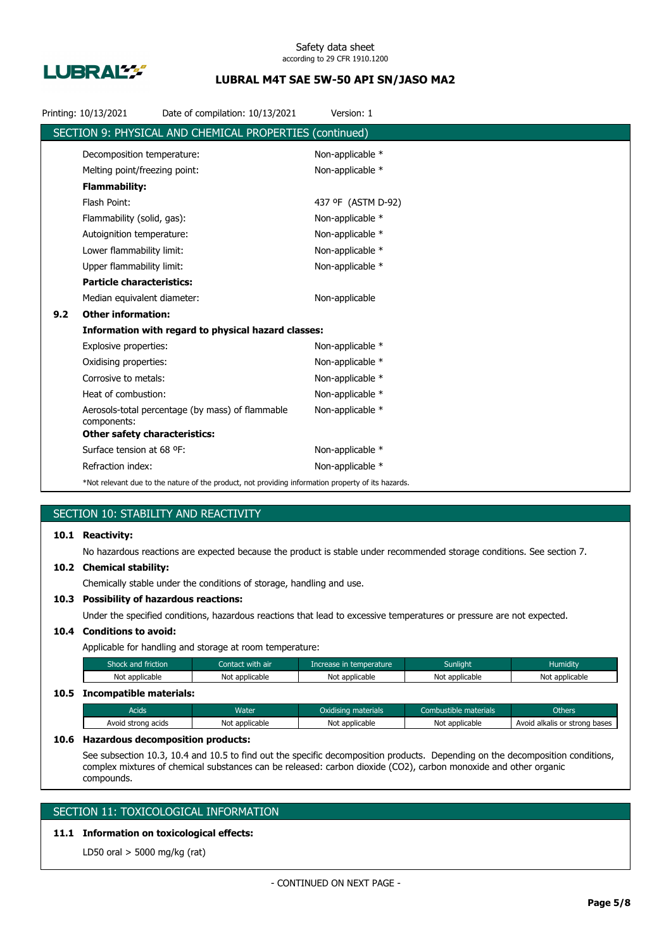

|     | Printing: 10/13/2021                 | Date of compilation: 10/13/2021                                                                    | Version: 1         |
|-----|--------------------------------------|----------------------------------------------------------------------------------------------------|--------------------|
|     |                                      | SECTION 9: PHYSICAL AND CHEMICAL PROPERTIES (continued)                                            |                    |
|     | Decomposition temperature:           |                                                                                                    | Non-applicable *   |
|     | Melting point/freezing point:        |                                                                                                    | Non-applicable *   |
|     | <b>Flammability:</b>                 |                                                                                                    |                    |
|     | Flash Point:                         |                                                                                                    | 437 °F (ASTM D-92) |
|     | Flammability (solid, gas):           |                                                                                                    | Non-applicable *   |
|     | Autoignition temperature:            |                                                                                                    | Non-applicable *   |
|     | Lower flammability limit:            |                                                                                                    | Non-applicable *   |
|     | Upper flammability limit:            |                                                                                                    | Non-applicable *   |
|     | <b>Particle characteristics:</b>     |                                                                                                    |                    |
|     | Median equivalent diameter:          |                                                                                                    | Non-applicable     |
| 9.2 | <b>Other information:</b>            |                                                                                                    |                    |
|     |                                      | Information with regard to physical hazard classes:                                                |                    |
|     | Explosive properties:                |                                                                                                    | Non-applicable *   |
|     | Oxidising properties:                |                                                                                                    | Non-applicable *   |
|     | Corrosive to metals:                 |                                                                                                    | Non-applicable *   |
|     | Heat of combustion:                  |                                                                                                    | Non-applicable *   |
|     | components:                          | Aerosols-total percentage (by mass) of flammable                                                   | Non-applicable *   |
|     | <b>Other safety characteristics:</b> |                                                                                                    |                    |
|     | Surface tension at 68 °F:            |                                                                                                    | Non-applicable *   |
|     | Refraction index:                    |                                                                                                    | Non-applicable *   |
|     |                                      | *Not relevant due to the nature of the product, not providing information property of its hazards. |                    |

## SECTION 10: STABILITY AND REACTIVITY

## **10.1 Reactivity:**

No hazardous reactions are expected because the product is stable under recommended storage conditions. See section 7.

#### **10.2 Chemical stability:**

Chemically stable under the conditions of storage, handling and use.

## **10.3 Possibility of hazardous reactions:**

Under the specified conditions, hazardous reactions that lead to excessive temperatures or pressure are not expected.

## **10.4 Conditions to avoid:**

Applicable for handling and storage at room temperature:

| Shock and friction           | Contact with air | Increase in temperature | <b>Sunlight</b> | <b>Humidity</b> |
|------------------------------|------------------|-------------------------|-----------------|-----------------|
| Not applicable               | Not applicable   | Not applicable          | Not applicable  | Not applicable  |
| 10.5 Incompatible materials: |                  |                         |                 |                 |

## Acids **Water Water Combustible materials** Combustible materials Combustible materials Combustible materials Avoid strong acids Not applicable Not applicable Not applicable Not applicable Avoid alkalis or strong bases

#### **10.6 Hazardous decomposition products:**

See subsection 10.3, 10.4 and 10.5 to find out the specific decomposition products. Depending on the decomposition conditions, complex mixtures of chemical substances can be released: carbon dioxide (CO2), carbon monoxide and other organic compounds.

## SECTION 11: TOXICOLOGICAL INFORMATION

## **11.1 Information on toxicological effects:**

LD50 oral > 5000 mg/kg (rat)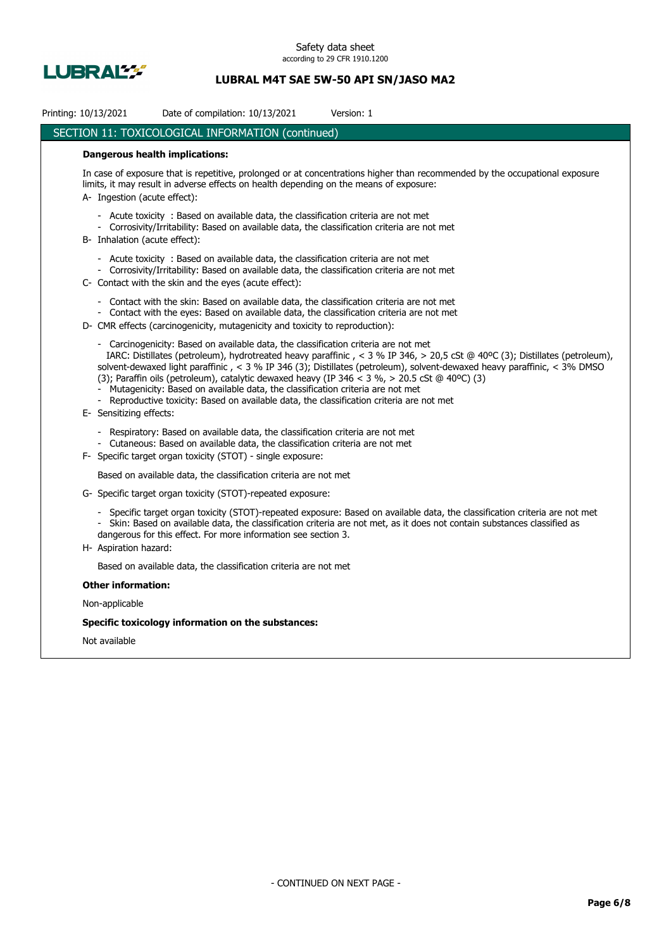

| Printing: 10/13/2021                                                                                                                                                                                                                                  | Date of compilation: 10/13/2021                                                                                                                                                                                                                                                                                                                                     | Version: 1                                                                                                                                                                                                                                               |  |  |  |  |  |
|-------------------------------------------------------------------------------------------------------------------------------------------------------------------------------------------------------------------------------------------------------|---------------------------------------------------------------------------------------------------------------------------------------------------------------------------------------------------------------------------------------------------------------------------------------------------------------------------------------------------------------------|----------------------------------------------------------------------------------------------------------------------------------------------------------------------------------------------------------------------------------------------------------|--|--|--|--|--|
|                                                                                                                                                                                                                                                       | SECTION 11: TOXICOLOGICAL INFORMATION (continued)                                                                                                                                                                                                                                                                                                                   |                                                                                                                                                                                                                                                          |  |  |  |  |  |
| <b>Dangerous health implications:</b>                                                                                                                                                                                                                 |                                                                                                                                                                                                                                                                                                                                                                     |                                                                                                                                                                                                                                                          |  |  |  |  |  |
| In case of exposure that is repetitive, prolonged or at concentrations higher than recommended by the occupational exposure<br>limits, it may result in adverse effects on health depending on the means of exposure:<br>A- Ingestion (acute effect): |                                                                                                                                                                                                                                                                                                                                                                     |                                                                                                                                                                                                                                                          |  |  |  |  |  |
| B- Inhalation (acute effect):                                                                                                                                                                                                                         | - Acute toxicity : Based on available data, the classification criteria are not met<br>- Corrosivity/Irritability: Based on available data, the classification criteria are not met                                                                                                                                                                                 |                                                                                                                                                                                                                                                          |  |  |  |  |  |
|                                                                                                                                                                                                                                                       | - Acute toxicity : Based on available data, the classification criteria are not met<br>- Corrosivity/Irritability: Based on available data, the classification criteria are not met<br>C- Contact with the skin and the eyes (acute effect):                                                                                                                        |                                                                                                                                                                                                                                                          |  |  |  |  |  |
|                                                                                                                                                                                                                                                       | - Contact with the skin: Based on available data, the classification criteria are not met<br>- Contact with the eyes: Based on available data, the classification criteria are not met<br>D- CMR effects (carcinogenicity, mutagenicity and toxicity to reproduction):                                                                                              |                                                                                                                                                                                                                                                          |  |  |  |  |  |
| E- Sensitizing effects:                                                                                                                                                                                                                               | - Carcinogenicity: Based on available data, the classification criteria are not met<br>(3); Paraffin oils (petroleum), catalytic dewaxed heavy (IP 346 < 3 %, > 20.5 cSt @ 40°C) (3)<br>Mutagenicity: Based on available data, the classification criteria are not met<br>- Reproductive toxicity: Based on available data, the classification criteria are not met | IARC: Distillates (petroleum), hydrotreated heavy paraffinic, < 3 % IP 346, > 20,5 cSt @ 40°C (3); Distillates (petroleum),<br>solvent-dewaxed light paraffinic, < 3 % IP 346 (3); Distillates (petroleum), solvent-dewaxed heavy paraffinic, < 3% DMSO  |  |  |  |  |  |
|                                                                                                                                                                                                                                                       | Respiratory: Based on available data, the classification criteria are not met<br>- Cutaneous: Based on available data, the classification criteria are not met<br>F- Specific target organ toxicity (STOT) - single exposure:                                                                                                                                       |                                                                                                                                                                                                                                                          |  |  |  |  |  |
|                                                                                                                                                                                                                                                       | Based on available data, the classification criteria are not met                                                                                                                                                                                                                                                                                                    |                                                                                                                                                                                                                                                          |  |  |  |  |  |
|                                                                                                                                                                                                                                                       | G- Specific target organ toxicity (STOT)-repeated exposure:                                                                                                                                                                                                                                                                                                         |                                                                                                                                                                                                                                                          |  |  |  |  |  |
| H- Aspiration hazard:                                                                                                                                                                                                                                 | dangerous for this effect. For more information see section 3.                                                                                                                                                                                                                                                                                                      | - Specific target organ toxicity (STOT)-repeated exposure: Based on available data, the classification criteria are not met<br>- Skin: Based on available data, the classification criteria are not met, as it does not contain substances classified as |  |  |  |  |  |
|                                                                                                                                                                                                                                                       | Based on available data, the classification criteria are not met                                                                                                                                                                                                                                                                                                    |                                                                                                                                                                                                                                                          |  |  |  |  |  |
| <b>Other information:</b>                                                                                                                                                                                                                             |                                                                                                                                                                                                                                                                                                                                                                     |                                                                                                                                                                                                                                                          |  |  |  |  |  |
| Non-applicable                                                                                                                                                                                                                                        |                                                                                                                                                                                                                                                                                                                                                                     |                                                                                                                                                                                                                                                          |  |  |  |  |  |
|                                                                                                                                                                                                                                                       | Specific toxicology information on the substances:                                                                                                                                                                                                                                                                                                                  |                                                                                                                                                                                                                                                          |  |  |  |  |  |
| الملحلة والمستحيط والمسالح                                                                                                                                                                                                                            |                                                                                                                                                                                                                                                                                                                                                                     |                                                                                                                                                                                                                                                          |  |  |  |  |  |

Not available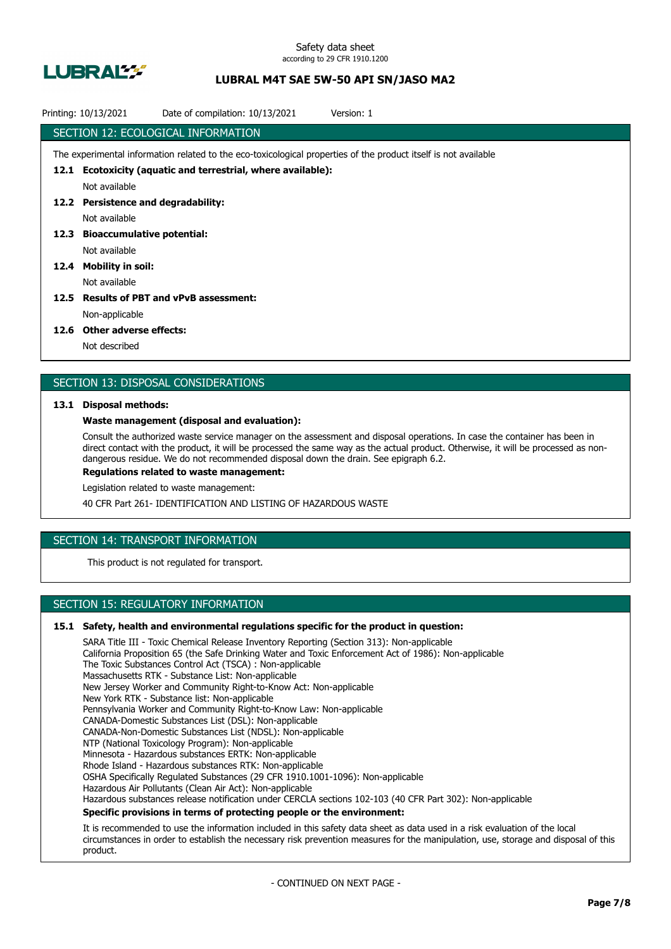

|      | Printing: 10/13/2021                                                                                            | Date of compilation: 10/13/2021                              | Version: 1 |  |  |  |  |
|------|-----------------------------------------------------------------------------------------------------------------|--------------------------------------------------------------|------------|--|--|--|--|
|      | SECTION 12: ECOLOGICAL INFORMATION                                                                              |                                                              |            |  |  |  |  |
|      | The experimental information related to the eco-toxicological properties of the product itself is not available |                                                              |            |  |  |  |  |
|      |                                                                                                                 | 12.1 Ecotoxicity (aquatic and terrestrial, where available): |            |  |  |  |  |
|      | Not available                                                                                                   |                                                              |            |  |  |  |  |
|      | 12.2 Persistence and degradability:                                                                             |                                                              |            |  |  |  |  |
|      | Not available                                                                                                   |                                                              |            |  |  |  |  |
|      | 12.3 Bioaccumulative potential:                                                                                 |                                                              |            |  |  |  |  |
|      | Not available                                                                                                   |                                                              |            |  |  |  |  |
| 12.4 | <b>Mobility in soil:</b>                                                                                        |                                                              |            |  |  |  |  |
|      | Not available                                                                                                   |                                                              |            |  |  |  |  |
| 12.5 |                                                                                                                 | <b>Results of PBT and vPvB assessment:</b>                   |            |  |  |  |  |
|      | Non-applicable                                                                                                  |                                                              |            |  |  |  |  |
|      | $\mathbf{A} \mathbf{A} \mathbf{A}$                                                                              |                                                              |            |  |  |  |  |

#### **12.6 Other adverse effects:**

Not described

## SECTION 13: DISPOSAL CONSIDERATIONS

### **13.1 Disposal methods:**

### **Waste management (disposal and evaluation):**

Consult the authorized waste service manager on the assessment and disposal operations. In case the container has been in direct contact with the product, it will be processed the same way as the actual product. Otherwise, it will be processed as nondangerous residue. We do not recommended disposal down the drain. See epigraph 6.2.

**Regulations related to waste management:**

Legislation related to waste management:

40 CFR Part 261- IDENTIFICATION AND LISTING OF HAZARDOUS WASTE

## SECTION 14: TRANSPORT INFORMATION

This product is not regulated for transport.

## SECTION 15: REGULATORY INFORMATION

### **15.1 Safety, health and environmental regulations specific for the product in question:**

SARA Title III - Toxic Chemical Release Inventory Reporting (Section 313): Non-applicable California Proposition 65 (the Safe Drinking Water and Toxic Enforcement Act of 1986): Non-applicable The Toxic Substances Control Act (TSCA) : Non-applicable Massachusetts RTK - Substance List: Non-applicable New Jersey Worker and Community Right-to-Know Act: Non-applicable New York RTK - Substance list: Non-applicable Pennsylvania Worker and Community Right-to-Know Law: Non-applicable CANADA-Domestic Substances List (DSL): Non-applicable CANADA-Non-Domestic Substances List (NDSL): Non-applicable NTP (National Toxicology Program): Non-applicable Minnesota - Hazardous substances ERTK: Non-applicable Rhode Island - Hazardous substances RTK: Non-applicable OSHA Specifically Regulated Substances (29 CFR 1910.1001-1096): Non-applicable Hazardous Air Pollutants (Clean Air Act): Non-applicable Hazardous substances release notification under CERCLA sections 102-103 (40 CFR Part 302): Non-applicable **Specific provisions in terms of protecting people or the environment:**

It is recommended to use the information included in this safety data sheet as data used in a risk evaluation of the local circumstances in order to establish the necessary risk prevention measures for the manipulation, use, storage and disposal of this product.

- CONTINUED ON NEXT PAGE -